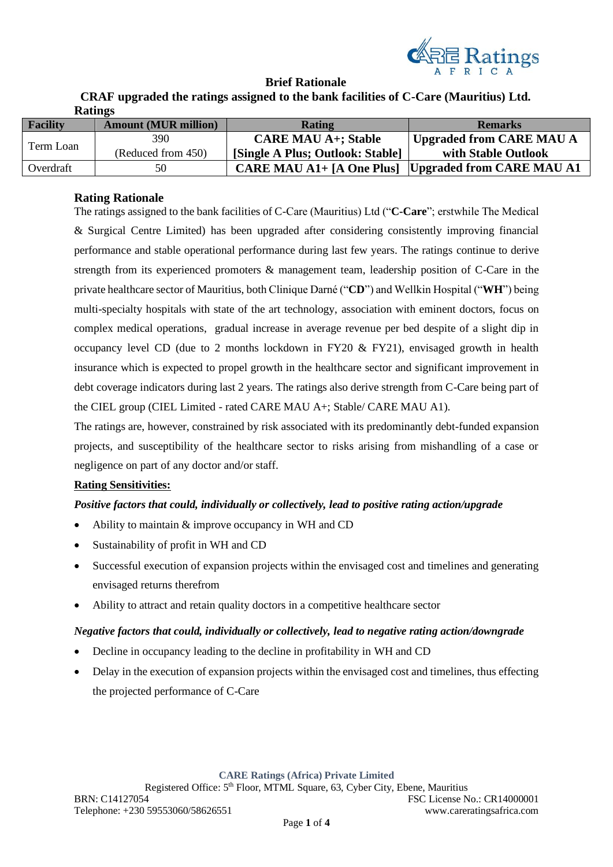

### **Brief Rationale**

**CRAF upgraded the ratings assigned to the bank facilities of C-Care (Mauritius) Ltd. Ratings**

| <b>Facility</b> | <b>Amount (MUR million)</b> | Rating                                                     | <b>Remarks</b>           |
|-----------------|-----------------------------|------------------------------------------------------------|--------------------------|
| Term Loan       | 390                         | <b>CARE MAU A+; Stable</b>                                 | Upgraded from CARE MAU A |
|                 | (Reduced from 450)          | [Single A Plus; Outlook: Stable]                           | with Stable Outlook      |
| Overdraft       | 50                          | <b>CARE MAU A1+ [A One Plus] Upgraded from CARE MAU A1</b> |                          |

### **Rating Rationale**

The ratings assigned to the bank facilities of C-Care (Mauritius) Ltd ("**C-Care**"; erstwhile The Medical & Surgical Centre Limited) has been upgraded after considering consistently improving financial performance and stable operational performance during last few years. The ratings continue to derive strength from its experienced promoters & management team, leadership position of C-Care in the private healthcare sector of Mauritius, both Clinique Darné ("**CD**") and Wellkin Hospital ("**WH**") being multi-specialty hospitals with state of the art technology, association with eminent doctors, focus on complex medical operations, gradual increase in average revenue per bed despite of a slight dip in occupancy level CD (due to 2 months lockdown in FY20 & FY21), envisaged growth in health insurance which is expected to propel growth in the healthcare sector and significant improvement in debt coverage indicators during last 2 years. The ratings also derive strength from C-Care being part of the CIEL group (CIEL Limited - rated CARE MAU A+; Stable/ CARE MAU A1).

The ratings are, however, constrained by risk associated with its predominantly debt-funded expansion projects, and susceptibility of the healthcare sector to risks arising from mishandling of a case or negligence on part of any doctor and/or staff.

#### **Rating Sensitivities:**

## *Positive factors that could, individually or collectively, lead to positive rating action/upgrade*

- Ability to maintain & improve occupancy in WH and CD
- Sustainability of profit in WH and CD
- Successful execution of expansion projects within the envisaged cost and timelines and generating envisaged returns therefrom
- Ability to attract and retain quality doctors in a competitive healthcare sector

#### *Negative factors that could, individually or collectively, lead to negative rating action/downgrade*

- Decline in occupancy leading to the decline in profitability in WH and CD
- Delay in the execution of expansion projects within the envisaged cost and timelines, thus effecting the projected performance of C-Care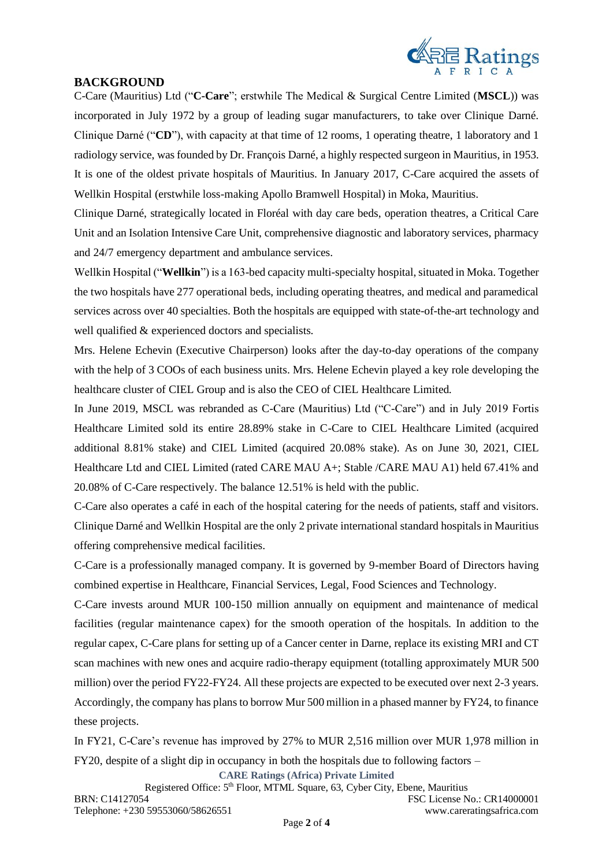

## **BACKGROUND**

C-Care (Mauritius) Ltd ("**C-Care**"; erstwhile The Medical & Surgical Centre Limited (**MSCL**)) was incorporated in July 1972 by a group of leading sugar manufacturers, to take over Clinique Darné. Clinique Darné ("**CD**"), with capacity at that time of 12 rooms, 1 operating theatre, 1 laboratory and 1 radiology service, was founded by Dr. François Darné, a highly respected surgeon in Mauritius, in 1953. It is one of the oldest private hospitals of Mauritius. In January 2017, C-Care acquired the assets of Wellkin Hospital (erstwhile loss-making Apollo Bramwell Hospital) in Moka, Mauritius.

Clinique Darné, strategically located in Floréal with day care beds, operation theatres, a Critical Care Unit and an Isolation Intensive Care Unit, comprehensive diagnostic and laboratory services, pharmacy and 24/7 emergency department and ambulance services.

Wellkin Hospital ("**Wellkin**") is a 163-bed capacity multi-specialty hospital, situated in Moka. Together the two hospitals have 277 operational beds, including operating theatres, and medical and paramedical services across over 40 specialties. Both the hospitals are equipped with state-of-the-art technology and well qualified & experienced doctors and specialists.

Mrs. Helene Echevin (Executive Chairperson) looks after the day-to-day operations of the company with the help of 3 COOs of each business units. Mrs. Helene Echevin played a key role developing the healthcare cluster of CIEL Group and is also the CEO of CIEL Healthcare Limited.

In June 2019, MSCL was rebranded as C-Care (Mauritius) Ltd ("C-Care") and in July 2019 Fortis Healthcare Limited sold its entire 28.89% stake in C-Care to CIEL Healthcare Limited (acquired additional 8.81% stake) and CIEL Limited (acquired 20.08% stake). As on June 30, 2021, CIEL Healthcare Ltd and CIEL Limited (rated CARE MAU A+; Stable /CARE MAU A1) held 67.41% and 20.08% of C-Care respectively. The balance 12.51% is held with the public.

C-Care also operates a café in each of the hospital catering for the needs of patients, staff and visitors. Clinique Darné and Wellkin Hospital are the only 2 private international standard hospitals in Mauritius offering comprehensive medical facilities.

C-Care is a professionally managed company. It is governed by 9-member Board of Directors having combined expertise in Healthcare, Financial Services, Legal, Food Sciences and Technology.

C-Care invests around MUR 100-150 million annually on equipment and maintenance of medical facilities (regular maintenance capex) for the smooth operation of the hospitals. In addition to the regular capex, C-Care plans for setting up of a Cancer center in Darne, replace its existing MRI and CT scan machines with new ones and acquire radio-therapy equipment (totalling approximately MUR 500 million) over the period FY22-FY24. All these projects are expected to be executed over next 2-3 years. Accordingly, the company has plans to borrow Mur 500 million in a phased manner by FY24, to finance these projects.

In FY21, C-Care's revenue has improved by 27% to MUR 2,516 million over MUR 1,978 million in FY20, despite of a slight dip in occupancy in both the hospitals due to following factors –

**CARE Ratings (Africa) Private Limited**

Registered Office: 5<sup>th</sup> Floor, MTML Square, 63, Cyber City, Ebene, Mauritius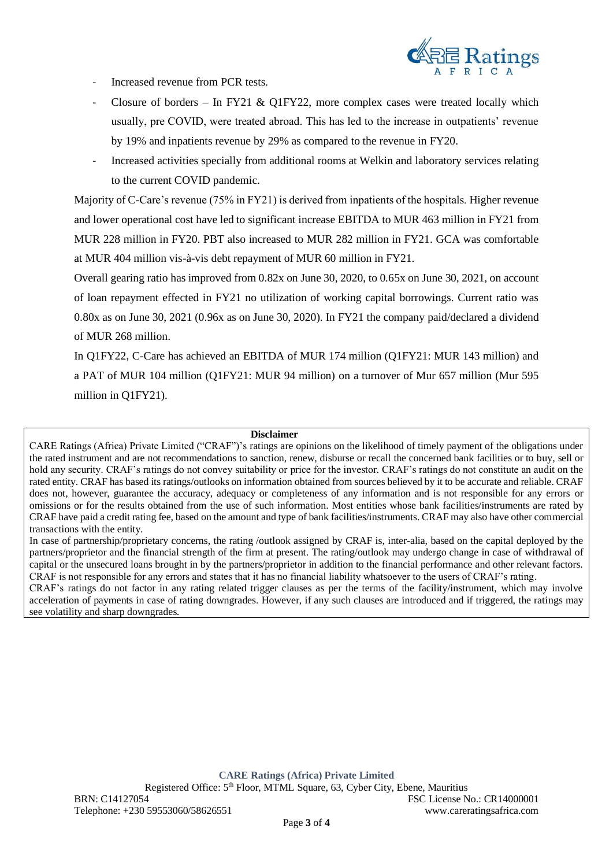

- Increased revenue from PCR tests.
- Closure of borders In FY21 & Q1FY22, more complex cases were treated locally which usually, pre COVID, were treated abroad. This has led to the increase in outpatients' revenue by 19% and inpatients revenue by 29% as compared to the revenue in FY20.
- Increased activities specially from additional rooms at Welkin and laboratory services relating to the current COVID pandemic.

Majority of C-Care's revenue (75% in FY21) is derived from inpatients of the hospitals. Higher revenue and lower operational cost have led to significant increase EBITDA to MUR 463 million in FY21 from MUR 228 million in FY20. PBT also increased to MUR 282 million in FY21. GCA was comfortable at MUR 404 million vis-à-vis debt repayment of MUR 60 million in FY21.

Overall gearing ratio has improved from 0.82x on June 30, 2020, to 0.65x on June 30, 2021, on account of loan repayment effected in FY21 no utilization of working capital borrowings. Current ratio was 0.80x as on June 30, 2021 (0.96x as on June 30, 2020). In FY21 the company paid/declared a dividend of MUR 268 million.

In Q1FY22, C-Care has achieved an EBITDA of MUR 174 million (Q1FY21: MUR 143 million) and a PAT of MUR 104 million (Q1FY21: MUR 94 million) on a turnover of Mur 657 million (Mur 595 million in Q1FY21).

#### **Disclaimer**

CARE Ratings (Africa) Private Limited ("CRAF")'s ratings are opinions on the likelihood of timely payment of the obligations under the rated instrument and are not recommendations to sanction, renew, disburse or recall the concerned bank facilities or to buy, sell or hold any security. CRAF's ratings do not convey suitability or price for the investor. CRAF's ratings do not constitute an audit on the rated entity. CRAF has based its ratings/outlooks on information obtained from sources believed by it to be accurate and reliable. CRAF does not, however, guarantee the accuracy, adequacy or completeness of any information and is not responsible for any errors or omissions or for the results obtained from the use of such information. Most entities whose bank facilities/instruments are rated by CRAF have paid a credit rating fee, based on the amount and type of bank facilities/instruments. CRAF may also have other commercial transactions with the entity.

In case of partnership/proprietary concerns, the rating /outlook assigned by CRAF is, inter-alia, based on the capital deployed by the partners/proprietor and the financial strength of the firm at present. The rating/outlook may undergo change in case of withdrawal of capital or the unsecured loans brought in by the partners/proprietor in addition to the financial performance and other relevant factors. CRAF is not responsible for any errors and states that it has no financial liability whatsoever to the users of CRAF's rating.

CRAF's ratings do not factor in any rating related trigger clauses as per the terms of the facility/instrument, which may involve acceleration of payments in case of rating downgrades. However, if any such clauses are introduced and if triggered, the ratings may see volatility and sharp downgrades.